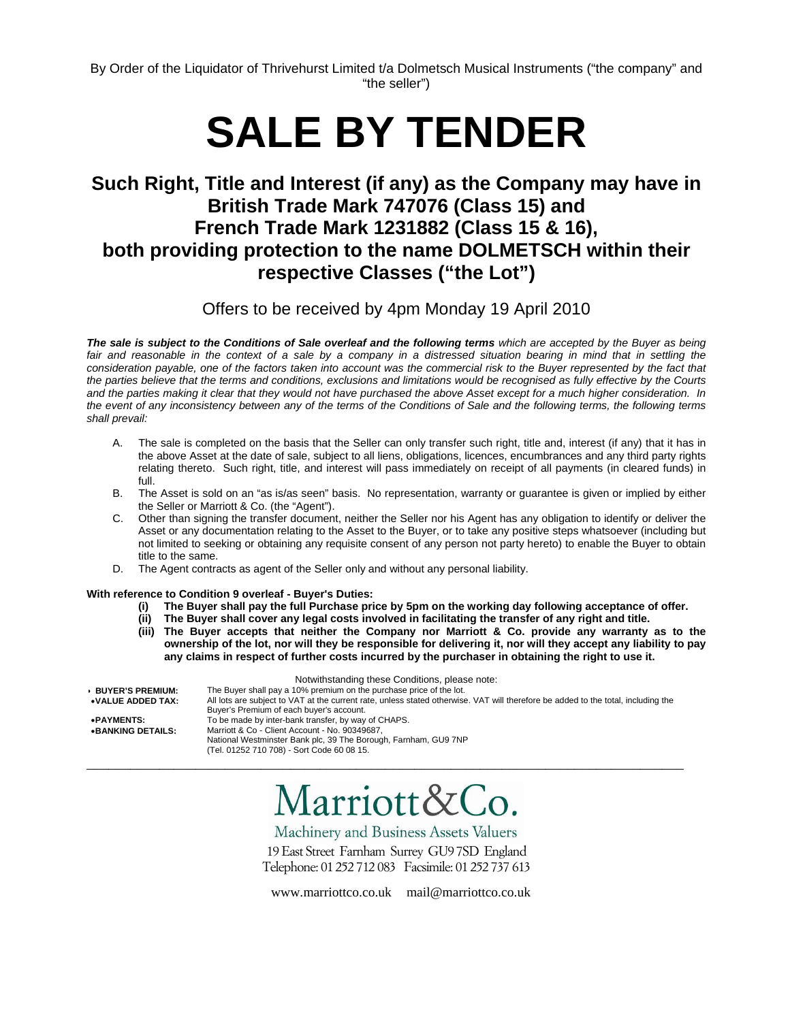# **SALE BY TENDER**

## **Such Right, Title and Interest (if any) as the Company may have in British Trade Mark 747076 (Class 15) and French Trade Mark 1231882 (Class 15 & 16), both providing protection to the name DOLMETSCH within their respective Classes ("the Lot")**

Offers to be received by 4pm Monday 19 April 2010

*The sale is subject to the Conditions of Sale overleaf and the following terms which are accepted by the Buyer as being*  fair and reasonable in the context of a sale by a company in a distressed situation bearing in mind that in settling the *consideration payable, one of the factors taken into account was the commercial risk to the Buyer represented by the fact that the parties believe that the terms and conditions, exclusions and limitations would be recognised as fully effective by the Courts and the parties making it clear that they would not have purchased the above Asset except for a much higher consideration. In the event of any inconsistency between any of the terms of the Conditions of Sale and the following terms, the following terms shall prevail:* 

- A. The sale is completed on the basis that the Seller can only transfer such right, title and, interest (if any) that it has in the above Asset at the date of sale, subject to all liens, obligations, licences, encumbrances and any third party rights relating thereto. Such right, title, and interest will pass immediately on receipt of all payments (in cleared funds) in full.
- B. The Asset is sold on an "as is/as seen" basis. No representation, warranty or guarantee is given or implied by either the Seller or Marriott & Co. (the "Agent").
- C. Other than signing the transfer document, neither the Seller nor his Agent has any obligation to identify or deliver the Asset or any documentation relating to the Asset to the Buyer, or to take any positive steps whatsoever (including but not limited to seeking or obtaining any requisite consent of any person not party hereto) to enable the Buyer to obtain title to the same.
- D. The Agent contracts as agent of the Seller only and without any personal liability.

## **With reference to Condition 9 overleaf - Buyer's Duties:**

- **(i) The Buyer shall pay the full Purchase price by 5pm on the working day following acceptance of offer.**
- **(ii) The Buyer shall cover any legal costs involved in facilitating the transfer of any right and title.**
- **(iii) The Buyer accepts that neither the Company nor Marriott & Co. provide any warranty as to the ownership of the lot, nor will they be responsible for delivering it, nor will they accept any liability to pay any claims in respect of further costs incurred by the purchaser in obtaining the right to use it.**

| Notwithstanding these Conditions, please note: |                                                                                                                                   |  |  |  |
|------------------------------------------------|-----------------------------------------------------------------------------------------------------------------------------------|--|--|--|
| <b>BUYER'S PREMIUM:</b>                        | The Buyer shall pay a 10% premium on the purchase price of the lot.                                                               |  |  |  |
| $\bullet$ VALUE ADDED TAX:                     | All lots are subject to VAT at the current rate, unless stated otherwise. VAT will therefore be added to the total, including the |  |  |  |
|                                                | Buyer's Premium of each buyer's account.                                                                                          |  |  |  |
| •PAYMENTS:                                     | To be made by inter-bank transfer, by way of CHAPS.                                                                               |  |  |  |
| • BANKING DETAILS:                             | Marriott & Co - Client Account - No. 90349687,                                                                                    |  |  |  |
|                                                | National Westminster Bank plc, 39 The Borough, Farnham, GU9 7NP                                                                   |  |  |  |
|                                                | (Tel. 01252 710 708) - Sort Code 60 08 15.                                                                                        |  |  |  |

\_\_\_\_\_\_\_\_\_\_\_\_\_\_\_\_\_\_\_\_\_\_\_\_\_\_\_\_\_\_\_\_\_\_\_\_\_\_\_\_\_\_\_\_\_\_\_\_\_\_\_\_\_\_\_\_\_\_\_\_\_\_\_\_\_\_\_\_\_\_\_\_\_\_\_\_\_\_\_\_\_\_

# Marriott&Co.

Machinery and Business Assets Valuers

19 East Street Farnham Surrey GU97SD England Telephone: 01 252 712 083 Facsimile: 01 252 737 613

www.marriottco.co.uk mail@marriottco.co.uk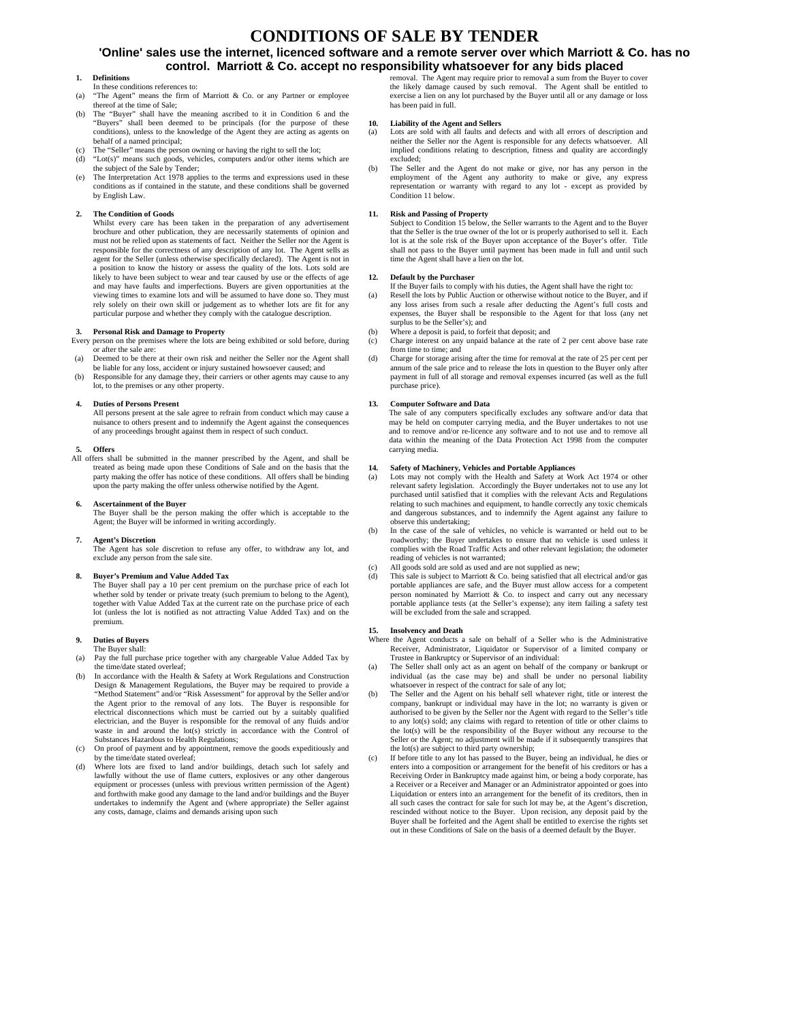## **CONDITIONS OF SALE BY TENDER**

## **'Online' sales use the internet, licenced software and a remote server over which Marriott & Co. has no control. Marriott & Co. accept no responsibility whatsoever for any bids placed**

#### **1. Definitions**

- In these conditions references to:
- (a) "The Agent" means the firm of Marriott & Co. or any Partner or employee thereof at the time of Sale;
- (b) The "Buyer" shall have the meaning ascribed to it in Condition 6 and the "Buyers" shall been deemed to be principals (for the purpose of these conditions), unless to the knowledge of the Agent they are acting as agents on behalf of a named principal;
- (c) The "Seller" means the person owning or having the right to sell the lot;
- "Lot(s)" means such goods, vehicles, computers and/or other items which are the subject of the Sale by Tender;
- The Interpretation Act 1978 applies to the terms and expressions used in these conditions as if contained in the statute, and these conditions shall be governed by English Law.

### **2. The Condition of Goods**

Whilst every care has been taken in the preparation of any advertisement brochure and other publication, they are necessarily statements of opinion and must not be relied upon as statements of fact. Neither the Seller nor the Agent is responsible for the correctness of any description of any lot. The Agent sells as agent for the Seller (unless otherwise specifically declared). The Agent is not in a position to know the history or assess the quality of the lots. Lots sold are likely to have been subject to wear and tear caused by use or the effects of age and may have faults and imperfections. Buyers are given opportunities at the viewing times to examine lots and will be assumed to have done so. They must rely solely on their own skill or judgement as to whether lots are fit for any particular purpose and whether they comply with the catalogue description.

**3. Personal Risk and Damage to Property**  Every person on the premises where the lots are being exhibited or sold before, during or after the sale are:

- (a) Deemed to be there at their own risk and neither the Seller nor the Agent shall be liable for any loss, accident or injury sustained howsoever caused; and
- (b) Responsible for any damage they, their carriers or other agents may cause to any lot, to the premises or any other property.

#### **4. Duties of Persons Present**

All persons present at the sale agree to refrain from conduct which may cause a nuisance to others present and to indemnify the Agent against the consequences of any proceedings brought against them in respect of such conduct.

#### **5. Offers**

All offers shall be submitted in the manner prescribed by the Agent, and shall be treated as being made upon these Conditions of Sale and on the basis that the party making the offer has notice of these conditions. All offers shall be binding upon the party making the offer unless otherwise notified by the Agent.

#### **6. Ascertainment of the Buyer**

The Buyer shall be the person making the offer which is acceptable to the Agent; the Buyer will be informed in writing accordingly.

#### **7. Agent's Discretion**

The Agent has sole discretion to refuse any offer, to withdraw any lot, and exclude any person from the sale site.

#### **8. Buyer's Premium and Value Added Tax**

The Buyer shall pay a 10 per cent premium on the purchase price of each lot whether sold by tender or private treaty (such premium to belong to the Agent), together with Value Added Tax at the current rate on the purchase price of each lot (unless the lot is notified as not attracting Value Added Tax) and on the premium.

## **9. Duties of Buyers**

- The Buyer shall:<br>(a) Pay the full pure Pay the full purchase price together with any chargeable Value Added Tax by the time/date stated overleaf;
- (b) In accordance with the Health & Safety at Work Regulations and Construction Design & Management Regulations, the Buyer may be required to provide a 'Method Statement" and/or "Risk Assessment" for approval by the Seller and/or the Agent prior to the removal of any lots. The Buyer is responsible for electrical disconnections which must be carried out by a suitably qualified electrician, and the Buyer is responsible for the removal of any fluid state and  $\frac{1}{2}$ waste in and around the lot(s) strictly in accordance with the Control of Substances Hazardous to Health Regulations;
- On proof of payment and by appointment, remove the goods expeditiously and by the time/date stated overleaf;
- (d) Where lots are fixed to land and/or buildings, detach such lot safely and lawfully without the use of flame cutters, explosives or any other dangerous equipment or processes (unless with previous written permission of the Agent) and forthwith make good any damage to the land and/or buildings and the Buyer undertakes to indemnify the Agent and (where appropriate) the Seller again any costs, damage, claims and demands arising upon such

removal. The Agent may require prior to removal a sum from the Buyer to cover the likely damage caused by such removal. The Agent shall be entitled to exercise a lien on any lot purchased by the Buyer until all or any damage or loss has been paid in full.

#### **10. Liability of the Agent and Sellers**

Lots are sold with all faults and defects and with all errors of description and neither the Seller nor the Agent is responsible for any defects whatsoever. All implied conditions relating to description, fitness and quality are accordingly excluded;

(b) The Seller and the Agent do not make or give, nor has any person in the employment of the Agent any authority to make or give, any express representation or warranty with regard to any lot - except as provided by Condition 11 below.

### **11. Risk and Passing of Property**

Subject to Condition 15 below, the Seller warrants to the Agent and to the Buyer that the Seller is the true owner of the lot or is properly authorised to sell it. Each lot is at the sole risk of the Buyer upon acceptance of the Buyer's offer. Title shall not pass to the Buyer until payment has been made in full and until such time the Agent shall have a lien on the lot.

#### **12. Default by the Purchaser**

- If the Buyer fails to comply with his duties, the Agent shall have the right to:<br>(a) Resell the lots by Public Auction or otherwise without notice to the Buyer. and
- Resell the lots by Public Auction or otherwise without notice to the Buyer, and if any loss arises from such a resale after deducting the Agent's full costs and expenses, the Buyer shall be responsible to the Agent for that loss (any net surplus to be the Seller's); and
- (b) Where a deposit is paid, to forfeit that deposit; and
- (c) Charge interest on any unpaid balance at the rate of 2 per cent above base rate from time to time; and
- (d) Charge for storage arising after the time for removal at the rate of 25 per cent per annum of the sale price and to release the lots in question to the Buyer only after payment in full of all storage and removal expenses incurred (as well as the full purchase price).

#### **13. Computer Software and Data**

The sale of any computers specifically excludes any software and/or data that may be held on computer carrying media, and the Buyer undertakes to not use and to remove and/or re-licence any software and to not use and to remove all data within the meaning of the Data Protection Act 1998 from the computer carrying media.

#### **14. Safety of Machinery, Vehicles and Portable Appliances**

- (a) Lots may not comply with the Health and Safety at Work Act 1974 or other relevant safety legislation. Accordingly the Buyer undertakes not to use any lot purchased until satisfied that it complies with the relevant Acts and Regulations relating to such machines and equipment, to handle correctly any toxic chemicals and dangerous substances, and to indemnify the Agent against any failure to
- observe this undertaking; (b) In the case of the sale of vehicles, no vehicle is warranted or held out to be roadworthy; the Buyer undertakes to ensure that no vehicle is used unless it complies with the Road Traffic Acts and other relevant legislation; the odometer reading of vehicles is not warranted;
- All goods sold are sold as used and are not supplied as new
- (d) This sale is subject to Marriott & Co. being satisfied that all electrical and/or gas portable appliances are safe, and the Buyer must allow access for a competent person nominated by Marriott & Co. to inspect and carry out any necessary portable appliance tests (at the Seller's expense); any item failing a safety test will be excluded from the sale and scrapped.

#### **15. Insolvency and Death**

- Where the Agent conducts a sale on behalf of a Seller who is the Administrative Receiver, Administrator, Liquidator or Supervisor of a limited company or Trustee in Bankruptcy or Supervisor of an individual:
- (a) The Seller shall only act as an agent on behalf of the company or bankrupt or individual (as the case may be) and shall be under no personal liability whatsoever in respect of the contract for sale of any lot;
- (b) The Seller and the Agent on his behalf sell whatever right, title or interest the company, bankrupt or individual may have in the lot; no warranty is given or authorised to be given by the Seller nor the Agent with regard to the Seller's title to any lot(s) sold; any claims with regard to retention of title or other claims to the lot(s) will be the responsibility of the Buyer without any recourse to the Seller or the Agent; no adjustment will be made if it subsequently transpires that the lot(s) are subject to third party ownership;
- (c) If before title to any lot has passed to the Buyer, being an individual, he dies or enters into a composition or arrangement for the benefit of his creditors or has a Receiving Order in Bankruptcy made against him, or being a body corporate, has a Receiver or a Receiver and Manager or an Administrator appointed or goes into Liquidation or enters into an arrangement for the benefit of its creditors, then in all such cases the contract for sale for such lot may be, at the Agent's discretion, rescinded without notice to the Buyer. Upon recision, any deposit paid by the Buyer shall be forfeited and the Agent shall be entitled to exercise the rights set out in these Conditions of Sale on the basis of a deemed default by the Buyer.